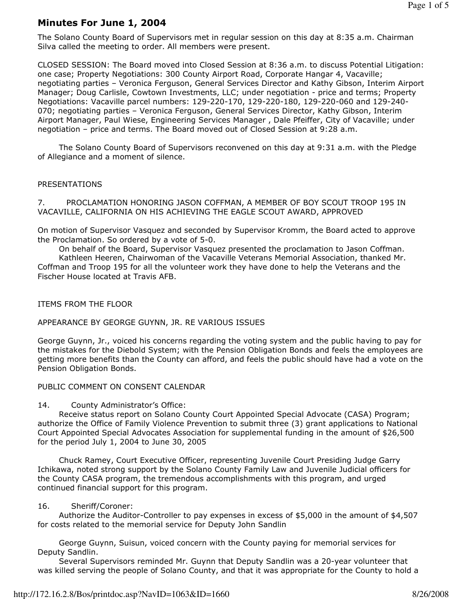# Minutes For June 1, 2004

The Solano County Board of Supervisors met in regular session on this day at 8:35 a.m. Chairman Silva called the meeting to order. All members were present.

CLOSED SESSION: The Board moved into Closed Session at 8:36 a.m. to discuss Potential Litigation: one case; Property Negotiations: 300 County Airport Road, Corporate Hangar 4, Vacaville; negotiating parties – Veronica Ferguson, General Services Director and Kathy Gibson, Interim Airport Manager; Doug Carlisle, Cowtown Investments, LLC; under negotiation - price and terms; Property Negotiations: Vacaville parcel numbers: 129-220-170, 129-220-180, 129-220-060 and 129-240- 070; negotiating parties – Veronica Ferguson, General Services Director, Kathy Gibson, Interim Airport Manager, Paul Wiese, Engineering Services Manager , Dale Pfeiffer, City of Vacaville; under negotiation – price and terms. The Board moved out of Closed Session at 9:28 a.m.

 The Solano County Board of Supervisors reconvened on this day at 9:31 a.m. with the Pledge of Allegiance and a moment of silence.

## PRESENTATIONS

7. PROCLAMATION HONORING JASON COFFMAN, A MEMBER OF BOY SCOUT TROOP 195 IN VACAVILLE, CALIFORNIA ON HIS ACHIEVING THE EAGLE SCOUT AWARD, APPROVED

On motion of Supervisor Vasquez and seconded by Supervisor Kromm, the Board acted to approve the Proclamation. So ordered by a vote of 5-0.

 On behalf of the Board, Supervisor Vasquez presented the proclamation to Jason Coffman. Kathleen Heeren, Chairwoman of the Vacaville Veterans Memorial Association, thanked Mr. Coffman and Troop 195 for all the volunteer work they have done to help the Veterans and the Fischer House located at Travis AFB.

## ITEMS FROM THE FLOOR

APPEARANCE BY GEORGE GUYNN, JR. RE VARIOUS ISSUES

George Guynn, Jr., voiced his concerns regarding the voting system and the public having to pay for the mistakes for the Diebold System; with the Pension Obligation Bonds and feels the employees are getting more benefits than the County can afford, and feels the public should have had a vote on the Pension Obligation Bonds.

## PUBLIC COMMENT ON CONSENT CALENDAR

### 14. County Administrator's Office:

 Receive status report on Solano County Court Appointed Special Advocate (CASA) Program; authorize the Office of Family Violence Prevention to submit three (3) grant applications to National Court Appointed Special Advocates Association for supplemental funding in the amount of \$26,500 for the period July 1, 2004 to June 30, 2005

 Chuck Ramey, Court Executive Officer, representing Juvenile Court Presiding Judge Garry Ichikawa, noted strong support by the Solano County Family Law and Juvenile Judicial officers for the County CASA program, the tremendous accomplishments with this program, and urged continued financial support for this program.

### 16. Sheriff/Coroner:

 Authorize the Auditor-Controller to pay expenses in excess of \$5,000 in the amount of \$4,507 for costs related to the memorial service for Deputy John Sandlin

 George Guynn, Suisun, voiced concern with the County paying for memorial services for Deputy Sandlin.

 Several Supervisors reminded Mr. Guynn that Deputy Sandlin was a 20-year volunteer that was killed serving the people of Solano County, and that it was appropriate for the County to hold a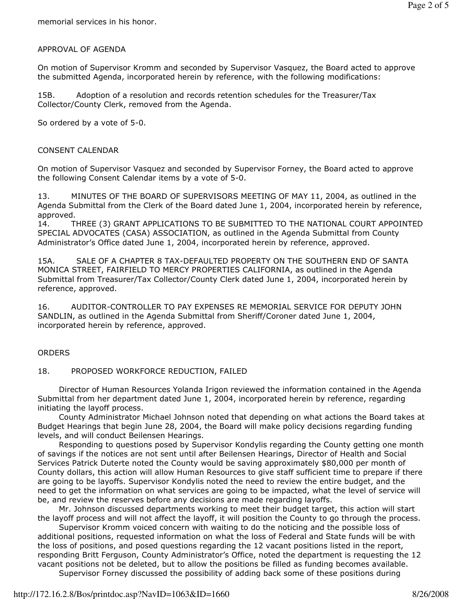## APPROVAL OF AGENDA

On motion of Supervisor Kromm and seconded by Supervisor Vasquez, the Board acted to approve the submitted Agenda, incorporated herein by reference, with the following modifications:

15B. Adoption of a resolution and records retention schedules for the Treasurer/Tax Collector/County Clerk, removed from the Agenda.

So ordered by a vote of 5-0.

## CONSENT CALENDAR

On motion of Supervisor Vasquez and seconded by Supervisor Forney, the Board acted to approve the following Consent Calendar items by a vote of 5-0.

13. MINUTES OF THE BOARD OF SUPERVISORS MEETING OF MAY 11, 2004, as outlined in the Agenda Submittal from the Clerk of the Board dated June 1, 2004, incorporated herein by reference, approved.

14. THREE (3) GRANT APPLICATIONS TO BE SUBMITTED TO THE NATIONAL COURT APPOINTED SPECIAL ADVOCATES (CASA) ASSOCIATION, as outlined in the Agenda Submittal from County Administrator's Office dated June 1, 2004, incorporated herein by reference, approved.

15A. SALE OF A CHAPTER 8 TAX-DEFAULTED PROPERTY ON THE SOUTHERN END OF SANTA MONICA STREET, FAIRFIELD TO MERCY PROPERTIES CALIFORNIA, as outlined in the Agenda Submittal from Treasurer/Tax Collector/County Clerk dated June 1, 2004, incorporated herein by reference, approved.

16. AUDITOR-CONTROLLER TO PAY EXPENSES RE MEMORIAL SERVICE FOR DEPUTY JOHN SANDLIN, as outlined in the Agenda Submittal from Sheriff/Coroner dated June 1, 2004, incorporated herein by reference, approved.

#### **ORDERS**

### 18. PROPOSED WORKFORCE REDUCTION, FAILED

 Director of Human Resources Yolanda Irigon reviewed the information contained in the Agenda Submittal from her department dated June 1, 2004, incorporated herein by reference, regarding initiating the layoff process.

 County Administrator Michael Johnson noted that depending on what actions the Board takes at Budget Hearings that begin June 28, 2004, the Board will make policy decisions regarding funding levels, and will conduct Beilensen Hearings.

 Responding to questions posed by Supervisor Kondylis regarding the County getting one month of savings if the notices are not sent until after Beilensen Hearings, Director of Health and Social Services Patrick Duterte noted the County would be saving approximately \$80,000 per month of County dollars, this action will allow Human Resources to give staff sufficient time to prepare if there are going to be layoffs. Supervisor Kondylis noted the need to review the entire budget, and the need to get the information on what services are going to be impacted, what the level of service will be, and review the reserves before any decisions are made regarding layoffs.

 Mr. Johnson discussed departments working to meet their budget target, this action will start the layoff process and will not affect the layoff, it will position the County to go through the process.

 Supervisor Kromm voiced concern with waiting to do the noticing and the possible loss of additional positions, requested information on what the loss of Federal and State funds will be with the loss of positions, and posed questions regarding the 12 vacant positions listed in the report, responding Britt Ferguson, County Administrator's Office, noted the department is requesting the 12 vacant positions not be deleted, but to allow the positions be filled as funding becomes available. Supervisor Forney discussed the possibility of adding back some of these positions during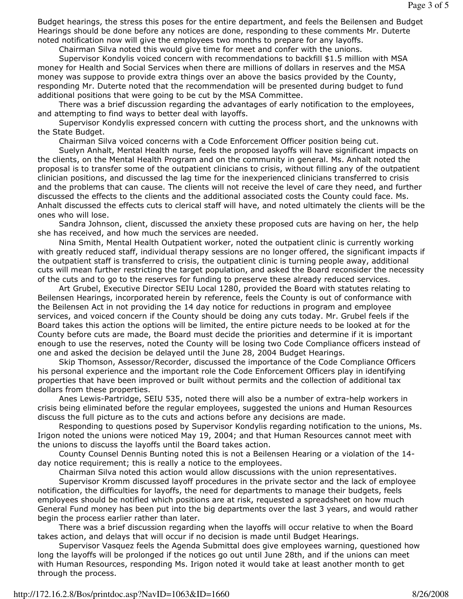Budget hearings, the stress this poses for the entire department, and feels the Beilensen and Budget Hearings should be done before any notices are done, responding to these comments Mr. Duterte noted notification now will give the employees two months to prepare for any layoffs.

Chairman Silva noted this would give time for meet and confer with the unions.

 Supervisor Kondylis voiced concern with recommendations to backfill \$1.5 million with MSA money for Health and Social Services when there are millions of dollars in reserves and the MSA money was suppose to provide extra things over an above the basics provided by the County, responding Mr. Duterte noted that the recommendation will be presented during budget to fund additional positions that were going to be cut by the MSA Committee.

 There was a brief discussion regarding the advantages of early notification to the employees, and attempting to find ways to better deal with layoffs.

 Supervisor Kondylis expressed concern with cutting the process short, and the unknowns with the State Budget.

Chairman Silva voiced concerns with a Code Enforcement Officer position being cut.

 Suelyn Anhalt, Mental Health nurse, feels the proposed layoffs will have significant impacts on the clients, on the Mental Health Program and on the community in general. Ms. Anhalt noted the proposal is to transfer some of the outpatient clinicians to crisis, without filling any of the outpatient clinician positions, and discussed the lag time for the inexperienced clinicians transferred to crisis and the problems that can cause. The clients will not receive the level of care they need, and further discussed the effects to the clients and the additional associated costs the County could face. Ms. Anhalt discussed the effects cuts to clerical staff will have, and noted ultimately the clients will be the ones who will lose.

 Sandra Johnson, client, discussed the anxiety these proposed cuts are having on her, the help she has received, and how much the services are needed.

 Nina Smith, Mental Health Outpatient worker, noted the outpatient clinic is currently working with greatly reduced staff, individual therapy sessions are no longer offered, the significant impacts if the outpatient staff is transferred to crisis, the outpatient clinic is turning people away, additional cuts will mean further restricting the target population, and asked the Board reconsider the necessity of the cuts and to go to the reserves for funding to preserve these already reduced services.

 Art Grubel, Executive Director SEIU Local 1280, provided the Board with statutes relating to Beilensen Hearings, incorporated herein by reference, feels the County is out of conformance with the Beilensen Act in not providing the 14 day notice for reductions in program and employee services, and voiced concern if the County should be doing any cuts today. Mr. Grubel feels if the Board takes this action the options will be limited, the entire picture needs to be looked at for the County before cuts are made, the Board must decide the priorities and determine if it is important enough to use the reserves, noted the County will be losing two Code Compliance officers instead of one and asked the decision be delayed until the June 28, 2004 Budget Hearings.

 Skip Thomson, Assessor/Recorder, discussed the importance of the Code Compliance Officers his personal experience and the important role the Code Enforcement Officers play in identifying properties that have been improved or built without permits and the collection of additional tax dollars from these properties.

 Anes Lewis-Partridge, SEIU 535, noted there will also be a number of extra-help workers in crisis being eliminated before the regular employees, suggested the unions and Human Resources discuss the full picture as to the cuts and actions before any decisions are made.

 Responding to questions posed by Supervisor Kondylis regarding notification to the unions, Ms. Irigon noted the unions were noticed May 19, 2004; and that Human Resources cannot meet with the unions to discuss the layoffs until the Board takes action.

 County Counsel Dennis Bunting noted this is not a Beilensen Hearing or a violation of the 14 day notice requirement; this is really a notice to the employees.

Chairman Silva noted this action would allow discussions with the union representatives.

 Supervisor Kromm discussed layoff procedures in the private sector and the lack of employee notification, the difficulties for layoffs, the need for departments to manage their budgets, feels employees should be notified which positions are at risk, requested a spreadsheet on how much General Fund money has been put into the big departments over the last 3 years, and would rather begin the process earlier rather than later.

 There was a brief discussion regarding when the layoffs will occur relative to when the Board takes action, and delays that will occur if no decision is made until Budget Hearings.

 Supervisor Vasquez feels the Agenda Submittal does give employees warning, questioned how long the layoffs will be prolonged if the notices go out until June 28th, and if the unions can meet with Human Resources, responding Ms. Irigon noted it would take at least another month to get through the process.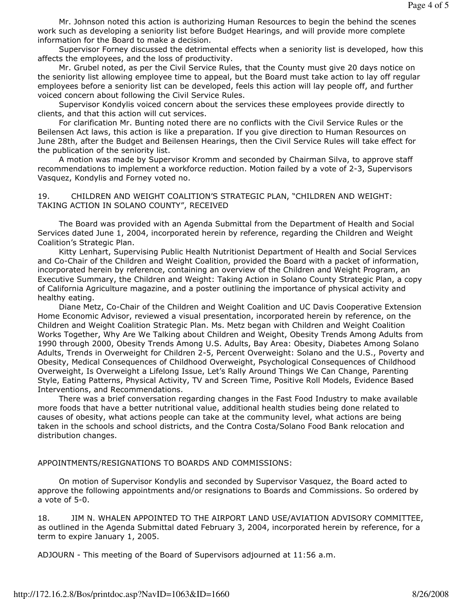Mr. Johnson noted this action is authorizing Human Resources to begin the behind the scenes work such as developing a seniority list before Budget Hearings, and will provide more complete information for the Board to make a decision.

 Supervisor Forney discussed the detrimental effects when a seniority list is developed, how this affects the employees, and the loss of productivity.

 Mr. Grubel noted, as per the Civil Service Rules, that the County must give 20 days notice on the seniority list allowing employee time to appeal, but the Board must take action to lay off regular employees before a seniority list can be developed, feels this action will lay people off, and further voiced concern about following the Civil Service Rules.

 Supervisor Kondylis voiced concern about the services these employees provide directly to clients, and that this action will cut services.

 For clarification Mr. Bunting noted there are no conflicts with the Civil Service Rules or the Beilensen Act laws, this action is like a preparation. If you give direction to Human Resources on June 28th, after the Budget and Beilensen Hearings, then the Civil Service Rules will take effect for the publication of the seniority list.

 A motion was made by Supervisor Kromm and seconded by Chairman Silva, to approve staff recommendations to implement a workforce reduction. Motion failed by a vote of 2-3, Supervisors Vasquez, Kondylis and Forney voted no.

19. CHILDREN AND WEIGHT COALITION'S STRATEGIC PLAN, "CHILDREN AND WEIGHT: TAKING ACTION IN SOLANO COUNTY", RECEIVED

 The Board was provided with an Agenda Submittal from the Department of Health and Social Services dated June 1, 2004, incorporated herein by reference, regarding the Children and Weight Coalition's Strategic Plan.

 Kitty Lenhart, Supervising Public Health Nutritionist Department of Health and Social Services and Co-Chair of the Children and Weight Coalition, provided the Board with a packet of information, incorporated herein by reference, containing an overview of the Children and Weight Program, an Executive Summary, the Children and Weight: Taking Action in Solano County Strategic Plan, a copy of California Agriculture magazine, and a poster outlining the importance of physical activity and healthy eating.

 Diane Metz, Co-Chair of the Children and Weight Coalition and UC Davis Cooperative Extension Home Economic Advisor, reviewed a visual presentation, incorporated herein by reference, on the Children and Weight Coalition Strategic Plan. Ms. Metz began with Children and Weight Coalition Works Together, Why Are We Talking about Children and Weight, Obesity Trends Among Adults from 1990 through 2000, Obesity Trends Among U.S. Adults, Bay Area: Obesity, Diabetes Among Solano Adults, Trends in Overweight for Children 2-5, Percent Overweight: Solano and the U.S., Poverty and Obesity, Medical Consequences of Childhood Overweight, Psychological Consequences of Childhood Overweight, Is Overweight a Lifelong Issue, Let's Rally Around Things We Can Change, Parenting Style, Eating Patterns, Physical Activity, TV and Screen Time, Positive Roll Models, Evidence Based Interventions, and Recommendations.

 There was a brief conversation regarding changes in the Fast Food Industry to make available more foods that have a better nutritional value, additional health studies being done related to causes of obesity, what actions people can take at the community level, what actions are being taken in the schools and school districts, and the Contra Costa/Solano Food Bank relocation and distribution changes.

APPOINTMENTS/RESIGNATIONS TO BOARDS AND COMMISSIONS:

 On motion of Supervisor Kondylis and seconded by Supervisor Vasquez, the Board acted to approve the following appointments and/or resignations to Boards and Commissions. So ordered by a vote of 5-0.

18. JIM N. WHALEN APPOINTED TO THE AIRPORT LAND USE/AVIATION ADVISORY COMMITTEE, as outlined in the Agenda Submittal dated February 3, 2004, incorporated herein by reference, for a term to expire January 1, 2005.

ADJOURN - This meeting of the Board of Supervisors adjourned at 11:56 a.m.